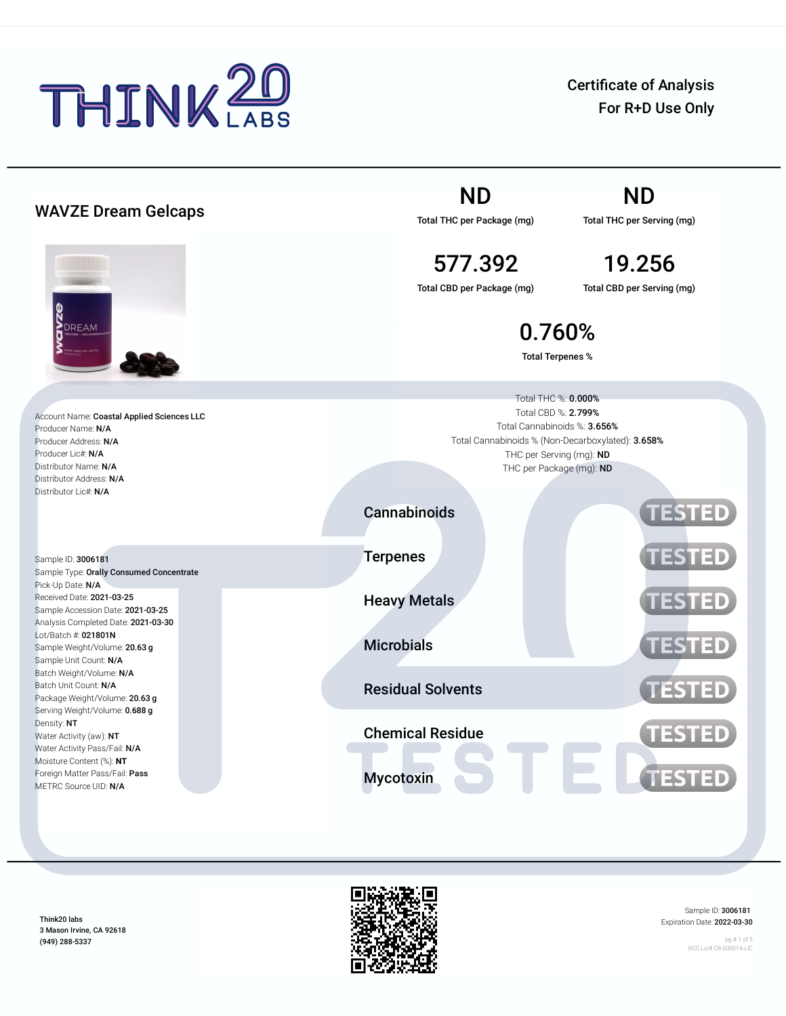

Certificate of Analysis For R+D Use Only

|                                                                                                               | <b>ND</b>                                                                                                                       | ND                                                   |  |  |  |
|---------------------------------------------------------------------------------------------------------------|---------------------------------------------------------------------------------------------------------------------------------|------------------------------------------------------|--|--|--|
| <b>WAVZE Dream Gelcaps</b>                                                                                    | Total THC per Package (mg)                                                                                                      | Total THC per Serving (mg)                           |  |  |  |
|                                                                                                               | 577.392                                                                                                                         | 19.256                                               |  |  |  |
|                                                                                                               | Total CBD per Package (mg)                                                                                                      | Total CBD per Serving (mg)                           |  |  |  |
| <b>O</b><br>PDREAM                                                                                            |                                                                                                                                 | 0.760%<br><b>Total Terpenes %</b>                    |  |  |  |
|                                                                                                               |                                                                                                                                 |                                                      |  |  |  |
| Account Name: Coastal Applied Sciences LLC<br>Producer Name: N/A<br>Producer Address: N/A                     | Total THC %: 0.000%<br>Total CBD %: 2.799%<br>Total Cannabinoids %: 3.656%<br>Total Cannabinoids % (Non-Decarboxylated): 3.658% |                                                      |  |  |  |
| Producer Lic#: N/A<br>Distributor Name: N/A                                                                   |                                                                                                                                 | THC per Serving (mg): ND<br>THC per Package (mg): ND |  |  |  |
| Distributor Address: N/A<br>Distributor Lic#: N/A                                                             |                                                                                                                                 |                                                      |  |  |  |
|                                                                                                               | Cannabinoids                                                                                                                    | <b>TESTED</b>                                        |  |  |  |
| Sample ID: 3006181<br>Sample Type: Orally Consumed Concentrate                                                | <b>Terpenes</b>                                                                                                                 | <b>TESTED</b>                                        |  |  |  |
| Pick-Up Date: N/A<br>Received Date: 2021-03-25<br>Sample Accession Date: 2021-03-25                           | <b>Heavy Metals</b>                                                                                                             | <b>TESTED</b>                                        |  |  |  |
| Analysis Completed Date: 2021-03-30<br>Lot/Batch #: 021801N<br>Sample Weight/Volume: 20.63 g                  | <b>Microbials</b>                                                                                                               | <b>TESTED</b>                                        |  |  |  |
| Sample Unit Count: N/A<br>Batch Weight/Volume: N/A<br>Batch Unit Count: N/A<br>Package Weight/Volume: 20.63 g | <b>Residual Solvents</b>                                                                                                        | <b>TESTED</b>                                        |  |  |  |
| Serving Weight/Volume: 0.688 g<br>Density: NT<br>Water Activity (aw): NT                                      | <b>Chemical Residue</b>                                                                                                         | <b>TESTED</b>                                        |  |  |  |
| Water Activity Pass/Fail: N/A<br>Moisture Content (%): NT<br>Foreign Matter Pass/Fail: Pass                   | <b>Mycotoxin</b>                                                                                                                | <b>TESTED</b>                                        |  |  |  |
| METRC Source UID: N/A                                                                                         |                                                                                                                                 |                                                      |  |  |  |

Think20 labs 3 Mason Irvine, CA 92618 (949) 288-5337



Sample ID: 3006181 Expiration Date: 2022-03-30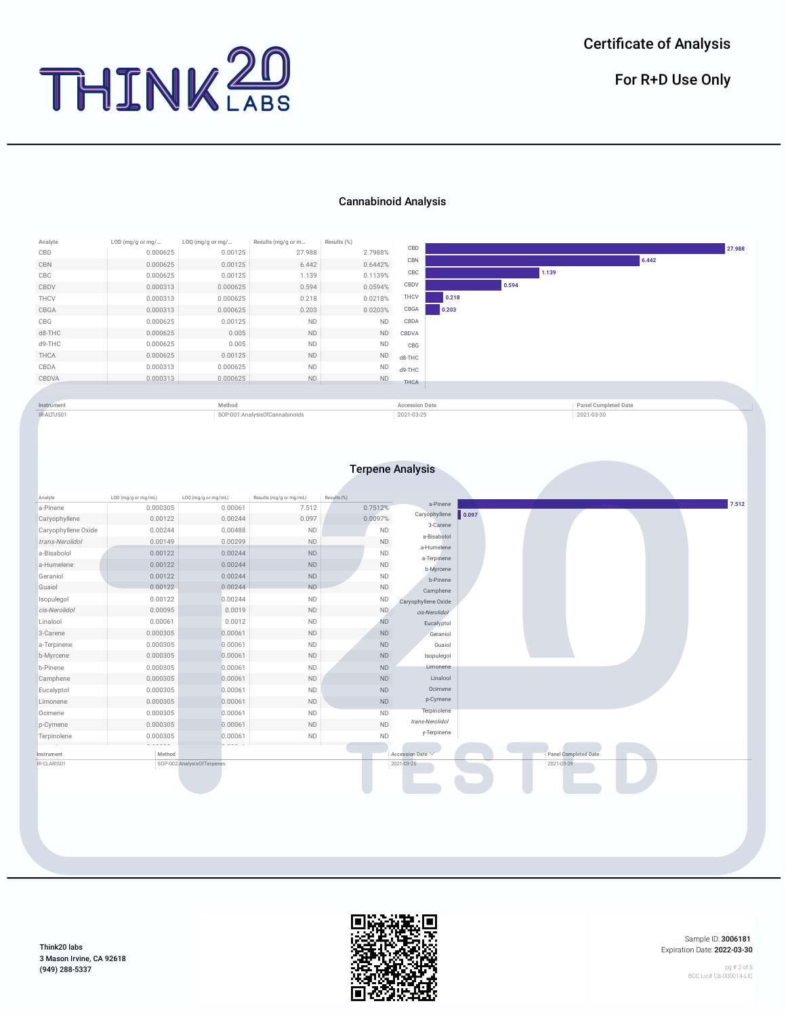

For R+D Use Only

## Cannabinoid Analysis





Sample ID: 3006181 Expiration Date: 2022-03-30

pg # 2 of 5 BCC Lic# C8-000014-LIC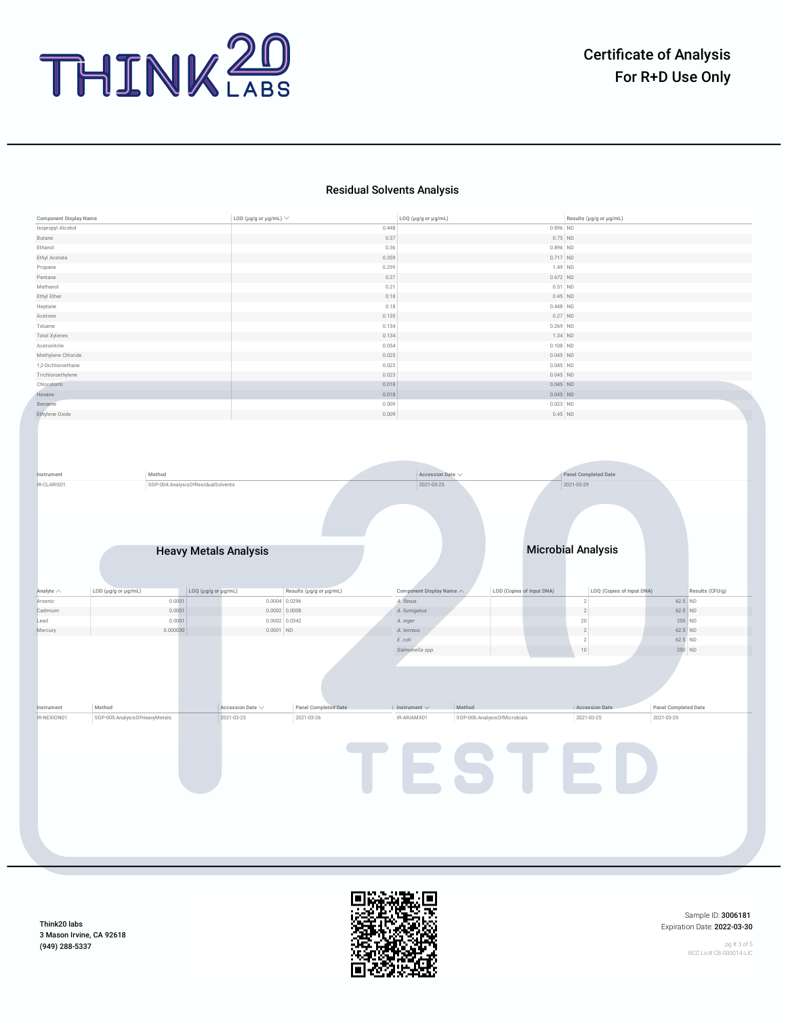

## Residual Solvents Analysis

| Isopropyl Alcohol                                                                                                                 |                                    | LOD (µg/g or µg/mL) $\vee$                                                | LOQ (µg/g or µg/mL)                    | Results (µg/g or µg/mL)                                                       |                                              |
|-----------------------------------------------------------------------------------------------------------------------------------|------------------------------------|---------------------------------------------------------------------------|----------------------------------------|-------------------------------------------------------------------------------|----------------------------------------------|
|                                                                                                                                   |                                    |                                                                           | 0.448                                  | $0.896$ ND                                                                    |                                              |
| Butane                                                                                                                            |                                    |                                                                           | 0.37                                   | $0.75$ ND                                                                     |                                              |
| Ethanol                                                                                                                           |                                    |                                                                           | 0.36                                   | $0.896$ ND                                                                    |                                              |
| Ethyl Acetate                                                                                                                     |                                    |                                                                           | 0.359                                  | $0.717$ ND                                                                    |                                              |
| Propane                                                                                                                           |                                    |                                                                           | 0.299                                  | 1.49 ND                                                                       |                                              |
| Pentane                                                                                                                           |                                    |                                                                           | 0.27                                   | $0.672$ ND                                                                    |                                              |
| Methanol                                                                                                                          |                                    |                                                                           | 0.21                                   | $0.51$ ND                                                                     |                                              |
| Ethyl Ether                                                                                                                       |                                    |                                                                           | 0.18                                   | $0.45$ ND                                                                     |                                              |
| Heptane                                                                                                                           |                                    |                                                                           | 0.18                                   | $0.448$ ND                                                                    |                                              |
| Acetone                                                                                                                           |                                    |                                                                           | 0.135                                  | $0.27$ ND                                                                     |                                              |
| Toluene                                                                                                                           |                                    |                                                                           | 0.134                                  | $0.269$ ND                                                                    |                                              |
| <b>Total Xylenes</b>                                                                                                              |                                    |                                                                           | 0.134                                  | 1.34 ND                                                                       |                                              |
| Acetonitrile                                                                                                                      |                                    |                                                                           | 0.054                                  | $0.108$ ND                                                                    |                                              |
| Methylene Chloride                                                                                                                |                                    |                                                                           | 0.025                                  | $0.045$ ND                                                                    |                                              |
| 1,2-Dichloroethane                                                                                                                |                                    |                                                                           | 0.023                                  | $0.045$ ND                                                                    |                                              |
| Trichloroethylene                                                                                                                 |                                    |                                                                           | 0.023                                  | $0.045$ ND                                                                    |                                              |
| Chloroform                                                                                                                        |                                    |                                                                           | 0.018                                  | $0.045$ ND                                                                    |                                              |
| Hexane                                                                                                                            |                                    |                                                                           | 0.018                                  | $0.045$ ND                                                                    |                                              |
| Benzene                                                                                                                           |                                    |                                                                           | 0.009                                  | $0.023$ ND                                                                    |                                              |
| Ethylene Oxide                                                                                                                    |                                    |                                                                           | 0.009                                  | $0.45$ ND                                                                     |                                              |
|                                                                                                                                   |                                    |                                                                           |                                        |                                                                               |                                              |
| Instrument                                                                                                                        | Method                             |                                                                           | Accession Date $\vee$                  | Panel Completed Date                                                          |                                              |
| IR-CLARIS01                                                                                                                       | SOP-004:AnalysisOfResidualSolvents |                                                                           | 2021-03-25                             | 2021-03-29                                                                    |                                              |
|                                                                                                                                   |                                    |                                                                           |                                        |                                                                               |                                              |
|                                                                                                                                   | <b>Heavy Metals Analysis</b>       |                                                                           |                                        | <b>Microbial Analysis</b>                                                     |                                              |
|                                                                                                                                   |                                    |                                                                           |                                        |                                                                               |                                              |
| LOD (µg/g or µg/mL)                                                                                                               | LOQ (µg/g or µg/mL)                | Results (µg/g or µg/mL)                                                   | Component Display Name $\wedge$        | LOD (Copies of Input DNA)                                                     | LOQ (Copies of Input DNA)<br>Results (CFU/g) |
|                                                                                                                                   | 0.0001                             | $0.0004$ 0.0296                                                           | A. flavus                              | $\sqrt{2}$                                                                    | 62.5 ND                                      |
|                                                                                                                                   | 0.0001                             | $0.0002$ 0.0008                                                           | A. fumigatus                           | $\sqrt{2}$                                                                    | $62.5$ ND                                    |
|                                                                                                                                   | 0.0001                             | $0.0002$ 0.0342                                                           | A. niger                               | $20\,$                                                                        | 250 ND                                       |
|                                                                                                                                   | 0.000030                           | $0.0001$ ND                                                               | A. terreus                             | $\overline{2}$                                                                | $62.5$ ND                                    |
|                                                                                                                                   |                                    |                                                                           | E. coli                                | $\sqrt{2}$                                                                    | 62.5 ND                                      |
|                                                                                                                                   |                                    |                                                                           | Salmonella spp.                        | $10\,$                                                                        | 250 ND                                       |
|                                                                                                                                   |                                    |                                                                           |                                        |                                                                               |                                              |
| Analyte $\wedge$<br>Arsenic<br>Cadmium<br>Lead<br>Mercury<br>Method<br>Instrument<br>IR-NEXION01<br>SOP-005:AnalysisOfHeavyMetals |                                    | Accession Date $\vee$<br>Panel Completed Date<br>2021-03-25<br>2021-03-26 | $\in$ Instrument $\vee$<br>IR-ARIAMX01 | Method<br><b>Accession Date</b><br>SOP-006:AnalysisOfMicrobials<br>2021-03-25 | Panel Completed Date<br>2021-03-29           |



Sample ID: 3006181 Expiration Date: 2022-03-30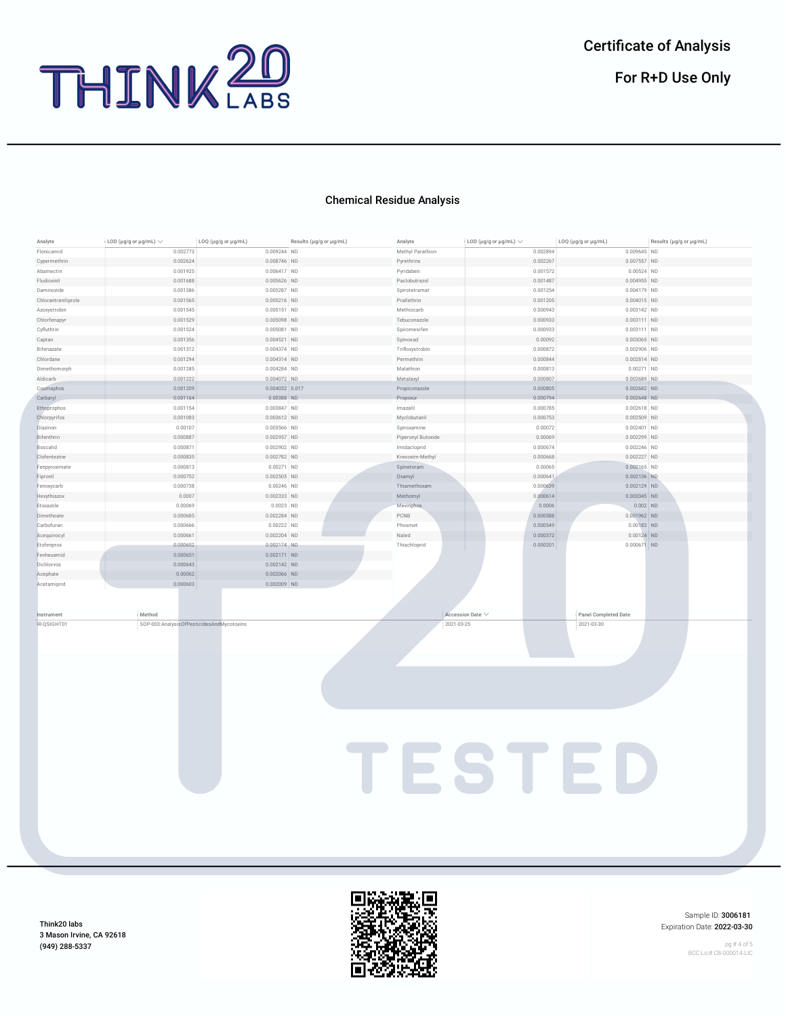

## Chemical Residue Analysis

| Analyte             | LOD (µg/g or µg/mL) $\vee$                | LOQ (µg/g or µg/mL) | Results (µg/g or µg/mL) | Analyte            | LOD (µg/g or µg/mL) $\vee$ | LOQ (µg/g or µg/mL)  | Results (µg/g or µg/mL) |
|---------------------|-------------------------------------------|---------------------|-------------------------|--------------------|----------------------------|----------------------|-------------------------|
| Flonicamid          | 0.002773                                  | 0.009244 ND         |                         | Methyl Parathion   | 0.002894                   | 0.009645 ND          |                         |
| Cypermethrin        | 0.002624                                  | 0.008746 ND         |                         | Pyrethrins         | 0.002267                   | 0.007557 ND          |                         |
| Abamectin           | 0.001925                                  | 0.006417 ND         |                         | Pyridaben          | 0.001572                   | $0.00524$ ND         |                         |
| Fludioxinil         | 0.001688                                  | 0.005626 ND         |                         | Paclobutrazol      | 0.001487                   | 0.004955 ND          |                         |
| Daminozide          | 0.001586                                  | 0.005287 ND         |                         | Spirotetramat      | 0.001254                   | 0.004179 ND          |                         |
| Chlorantraniliprole | 0.001565                                  | $0.005216$ ND       |                         | Prallethrin        | 0.001205                   | $0.004015$ ND        |                         |
| Azoxystrobin        | 0.001545                                  | 0.005151 ND         |                         | Methiocarb         | 0.000943                   | $0.003142$ ND        |                         |
| Chlorfenapyr        | 0.001529                                  | 0.005098 ND         |                         | Tebuconazole       | 0.000933                   | $0.003111$ ND        |                         |
| Cyfluthrin          | 0.001524                                  | 0.005081 ND         |                         | Spiromesifen       | 0.000933                   | 0.003111 ND          |                         |
| Captan              | 0.001356                                  | 0.004521 ND         |                         | Spinosad           | 0.00092                    | $0.003065$ ND        |                         |
| Bifenazate          | 0.001312                                  | 0.004374 ND         |                         | Trifloxystrobin    | 0.000872                   | $0.002906$ ND        |                         |
| Chlordane           | 0.001294                                  | $0.004314$ ND       |                         | Permethrin         | 0.000844                   | $0.002814$ ND        |                         |
| Dimethomorph        | 0.001285                                  | $0.004284$ ND       |                         | Malathion          | 0.000813                   | $0.00271$ ND         |                         |
| Aldicarb            | 0.001222                                  | 0.004072 ND         |                         | Metalaxyl          | 0.000807                   | 0.002689 ND          |                         |
| Coumaphos           | 0.001209                                  | $0.004032$ 0.017    |                         | Propiconazole      | 0.000805                   | $0.002682$ ND        |                         |
| Carbaryl            | 0.001164                                  | 0.00388 ND          |                         | Propoxur           | 0.000794                   | $0.002648$ ND        |                         |
| Ethoprophos         | 0.001154                                  | 0.003847 ND         |                         | Imazalil           | 0.000785                   | $0.002618$ ND        |                         |
| Chlorpyrifos        | 0.001083                                  | $0.003612$ ND       |                         | Myclobutanil       | 0.000753                   | $0.002509$ ND        |                         |
| Diazinon            | 0.00107                                   | 0.003566 ND         |                         | Spiroxamine        | 0.00072                    | $0.002401$ ND        |                         |
| Bifenthrin          | 0.000887                                  | 0.002957 ND         |                         | Piperonyl Butoxide | 0.00069                    | 0.002299 ND          |                         |
| Boscalid            | 0.000871                                  | $0.002902$ ND       |                         | Imidacloprid       | 0.000674                   | $0.002246$ ND        |                         |
| Clofentezine        | 0.000835                                  | $0.002782$ ND       |                         | Kresoxim-Methyl    | 0.000668                   | 0.002227 ND          |                         |
| Fenpyroximate       | 0.000813                                  | $0.00271$ ND        |                         | Spinetoram         | 0.00065                    | $0.002165$ ND        |                         |
| Fipronil            | 0.000752                                  | $0.002505$ ND       |                         | Oxamyl             | 0.000641                   | 0.002136 ND          |                         |
| Fenoxycarb          | 0.000738                                  | $0.00246$ ND        |                         | Thiamethoxam       | 0.000639                   | $0.002129$ ND        |                         |
| Hexythiazox         | 0.0007                                    | 0.002333 ND         |                         | Methomyl           | 0.000614                   | $0.002045$ ND        |                         |
| Etoxazole           | 0.00069                                   | $0.0023$ ND         |                         | Mevinphos          | 0.0006                     | $0.002$ ND           |                         |
| Dimethoate          | 0.000685                                  | $0.002284$ ND       |                         | PCNB               | 0.000588                   | 0.001962 ND          |                         |
| Carbofuran          | 0.000666                                  | $0.00222$ ND        |                         | Phosmet            | 0.000549                   | $0.00183$ ND         |                         |
| Acequinocyl         | 0.000661                                  | 0.002204 ND         |                         | Naled              | 0.000372                   | $0.00124$ ND         |                         |
| Etofenprox          | 0.000652                                  | 0.002174 ND         |                         | Thiachloprid       | 0.000201                   | $0.000671$ ND        |                         |
| Fenhexamid          | 0.000651                                  | $0.002171$ ND       |                         |                    |                            |                      |                         |
| Dichlorvos          | 0.000643                                  | $0.002142$ ND       |                         |                    |                            |                      |                         |
| Acephate            | 0.00062                                   | $0.002066$ ND       |                         |                    |                            |                      |                         |
| Acetamiprid         | 0.000603                                  | $0.002009$ ND       |                         |                    |                            |                      |                         |
|                     |                                           |                     |                         |                    |                            |                      |                         |
|                     |                                           |                     |                         |                    |                            |                      |                         |
| Instrument          | Method                                    |                     |                         |                    | Accession Date V           | Panel Completed Date |                         |
| IR-QSIGHT01         | SOP-003:AnalysisOfPesticidesAndMycotoxins |                     |                         | 2021-03-25         |                            | 2021-03-30           |                         |
|                     |                                           |                     |                         |                    |                            |                      |                         |
|                     |                                           |                     |                         |                    |                            |                      |                         |
|                     |                                           |                     |                         |                    |                            |                      |                         |
|                     |                                           |                     |                         |                    |                            |                      |                         |
|                     |                                           |                     |                         |                    |                            |                      |                         |
|                     |                                           |                     |                         |                    |                            |                      |                         |
|                     |                                           |                     |                         |                    |                            |                      |                         |
|                     |                                           |                     |                         |                    |                            |                      |                         |
|                     |                                           |                     |                         |                    |                            |                      |                         |
|                     |                                           |                     |                         |                    |                            |                      |                         |
|                     |                                           |                     |                         |                    |                            |                      |                         |
|                     |                                           |                     |                         |                    |                            |                      |                         |
|                     |                                           |                     |                         |                    |                            |                      |                         |
|                     |                                           |                     |                         |                    |                            |                      |                         |
|                     |                                           |                     |                         |                    |                            |                      |                         |
|                     |                                           |                     |                         |                    |                            | TESTED               |                         |
|                     |                                           |                     |                         |                    |                            |                      |                         |
|                     |                                           |                     |                         |                    |                            |                      |                         |
|                     |                                           |                     |                         |                    |                            |                      |                         |
|                     |                                           |                     |                         |                    |                            |                      |                         |
|                     |                                           |                     |                         |                    |                            |                      |                         |
|                     |                                           |                     |                         |                    |                            |                      |                         |



Sample ID: 3006181 Expiration Date: 2022-03-30

pg # 4 of 5 BCC Lic# C8-000014-LIC